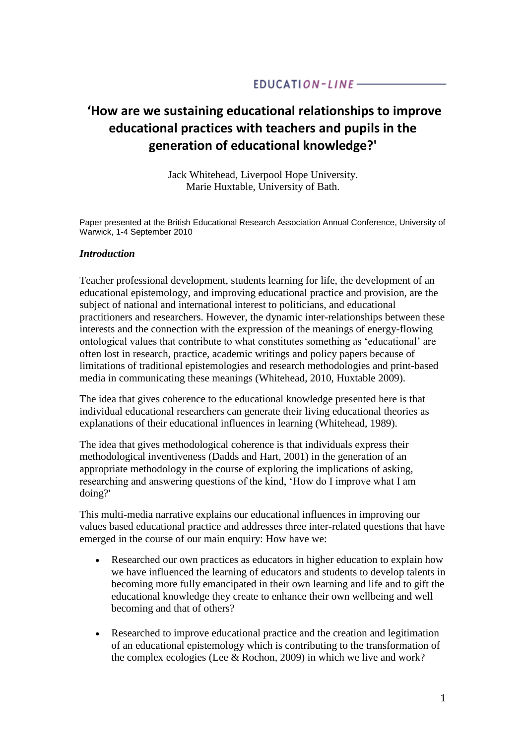## EDUCATION-LINE-

# **'How are we sustaining educational relationships to improve educational practices with teachers and pupils in the generation of educational knowledge?'**

Jack Whitehead, Liverpool Hope University. Marie Huxtable, University of Bath.

Paper presented at the British Educational Research Association Annual Conference, University of Warwick, 1-4 September 2010

#### *Introduction*

Teacher professional development, students learning for life, the development of an educational epistemology, and improving educational practice and provision, are the subject of national and international interest to politicians, and educational practitioners and researchers. However, the dynamic inter-relationships between these interests and the connection with the expression of the meanings of energy-flowing ontological values that contribute to what constitutes something as "educational" are often lost in research, practice, academic writings and policy papers because of limitations of traditional epistemologies and research methodologies and print-based media in communicating these meanings (Whitehead, 2010, Huxtable 2009).

The idea that gives coherence to the educational knowledge presented here is that individual educational researchers can generate their living educational theories as explanations of their educational influences in learning (Whitehead, 1989).

The idea that gives methodological coherence is that individuals express their methodological inventiveness (Dadds and Hart, 2001) in the generation of an appropriate methodology in the course of exploring the implications of asking, researching and answering questions of the kind, "How do I improve what I am doing?'

This multi-media narrative explains our educational influences in improving our values based educational practice and addresses three inter-related questions that have emerged in the course of our main enquiry: How have we:

- Researched our own practices as educators in higher education to explain how we have influenced the learning of educators and students to develop talents in becoming more fully emancipated in their own learning and life and to gift the educational knowledge they create to enhance their own wellbeing and well becoming and that of others?
- Researched to improve educational practice and the creation and legitimation of an educational epistemology which is contributing to the transformation of the complex ecologies (Lee & Rochon, 2009) in which we live and work?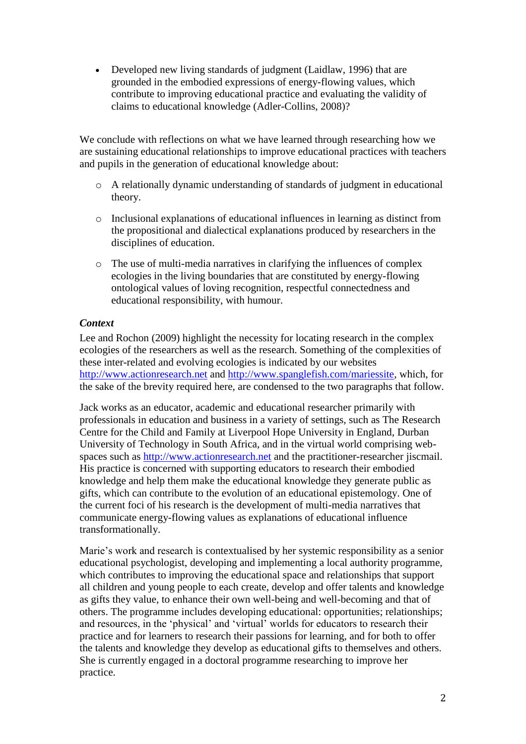• Developed new living standards of judgment (Laidlaw, 1996) that are grounded in the embodied expressions of energy-flowing values, which contribute to improving educational practice and evaluating the validity of claims to educational knowledge (Adler-Collins, 2008)?

We conclude with reflections on what we have learned through researching how we are sustaining educational relationships to improve educational practices with teachers and pupils in the generation of educational knowledge about:

- o A relationally dynamic understanding of standards of judgment in educational theory.
- o Inclusional explanations of educational influences in learning as distinct from the propositional and dialectical explanations produced by researchers in the disciplines of education.
- o The use of multi-media narratives in clarifying the influences of complex ecologies in the living boundaries that are constituted by energy-flowing ontological values of loving recognition, respectful connectedness and educational responsibility, with humour.

## *Context*

Lee and Rochon (2009) highlight the necessity for locating research in the complex ecologies of the researchers as well as the research. Something of the complexities of these inter-related and evolving ecologies is indicated by our websites [http://www.actionresearch.net](http://www.actionresearch.net/) and [http://www.spanglefish.com/mariessite,](http://www.spanglefish.com/mariessite) which, for the sake of the brevity required here, are condensed to the two paragraphs that follow.

Jack works as an educator, academic and educational researcher primarily with professionals in education and business in a variety of settings, such as The Research Centre for the Child and Family at Liverpool Hope University in England, Durban University of Technology in South Africa, and in the virtual world comprising webspaces such as [http://www.actionresearch.net](http://www.actionresearch.net/) and the practitioner-researcher jiscmail. His practice is concerned with supporting educators to research their embodied knowledge and help them make the educational knowledge they generate public as gifts, which can contribute to the evolution of an educational epistemology. One of the current foci of his research is the development of multi-media narratives that communicate energy-flowing values as explanations of educational influence transformationally.

Marie"s work and research is contextualised by her systemic responsibility as a senior educational psychologist, developing and implementing a local authority programme, which contributes to improving the educational space and relationships that support all children and young people to each create, develop and offer talents and knowledge as gifts they value, to enhance their own well-being and well-becoming and that of others. The programme includes developing educational: opportunities; relationships; and resources, in the "physical" and "virtual" worlds for educators to research their practice and for learners to research their passions for learning, and for both to offer the talents and knowledge they develop as educational gifts to themselves and others. She is currently engaged in a doctoral programme researching to improve her practice.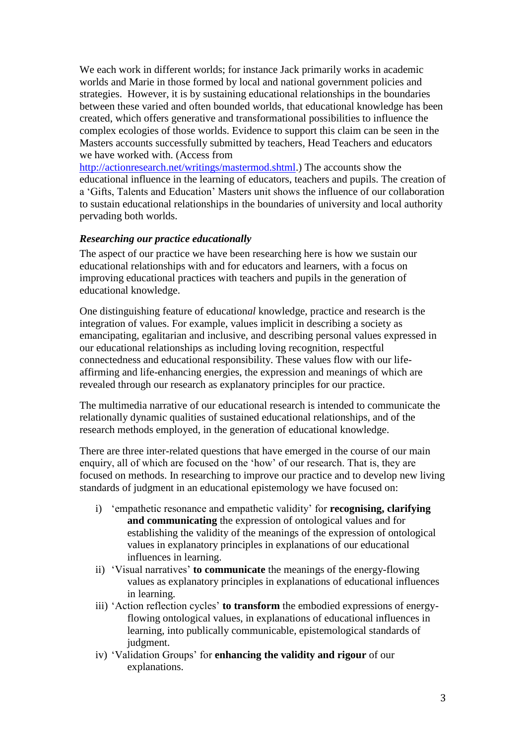We each work in different worlds; for instance Jack primarily works in academic worlds and Marie in those formed by local and national government policies and strategies. However, it is by sustaining educational relationships in the boundaries between these varied and often bounded worlds, that educational knowledge has been created, which offers generative and transformational possibilities to influence the complex ecologies of those worlds. Evidence to support this claim can be seen in the Masters accounts successfully submitted by teachers, Head Teachers and educators we have worked with. (Access from

[http://actionresearch.net/writings/mastermod.shtml.](http://actionresearch.net/writings/mastermod.shtml)) The accounts show the educational influence in the learning of educators, teachers and pupils. The creation of a "Gifts, Talents and Education" Masters unit shows the influence of our collaboration to sustain educational relationships in the boundaries of university and local authority pervading both worlds.

#### *Researching our practice educationally*

The aspect of our practice we have been researching here is how we sustain our educational relationships with and for educators and learners, with a focus on improving educational practices with teachers and pupils in the generation of educational knowledge.

One distinguishing feature of education*al* knowledge, practice and research is the integration of values. For example, values implicit in describing a society as emancipating, egalitarian and inclusive, and describing personal values expressed in our educational relationships as including loving recognition, respectful connectedness and educational responsibility. These values flow with our lifeaffirming and life-enhancing energies, the expression and meanings of which are revealed through our research as explanatory principles for our practice.

The multimedia narrative of our educational research is intended to communicate the relationally dynamic qualities of sustained educational relationships, and of the research methods employed, in the generation of educational knowledge.

There are three inter-related questions that have emerged in the course of our main enquiry, all of which are focused on the "how" of our research. That is, they are focused on methods. In researching to improve our practice and to develop new living standards of judgment in an educational epistemology we have focused on:

- i) "empathetic resonance and empathetic validity" for **recognising, clarifying and communicating** the expression of ontological values and for establishing the validity of the meanings of the expression of ontological values in explanatory principles in explanations of our educational influences in learning.
- ii) "Visual narratives" **to communicate** the meanings of the energy-flowing values as explanatory principles in explanations of educational influences in learning.
- iii) 'Action reflection cycles' **to transform** the embodied expressions of energyflowing ontological values, in explanations of educational influences in learning, into publically communicable, epistemological standards of judgment.
- iv) "Validation Groups" for **enhancing the validity and rigour** of our explanations.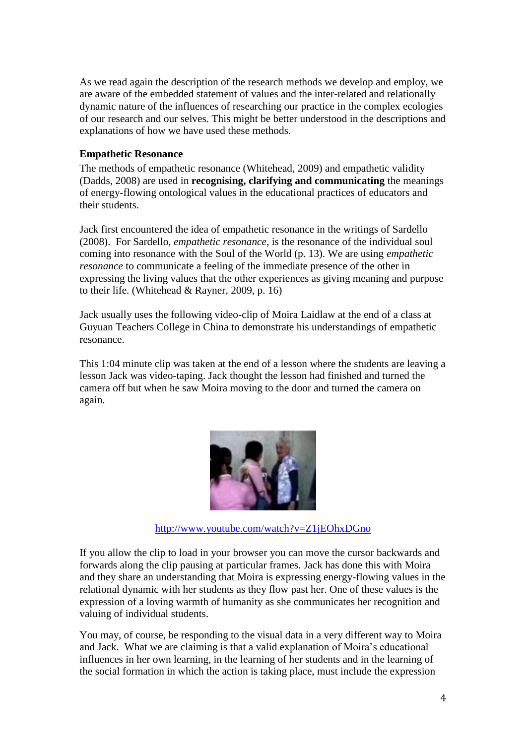As we read again the description of the research methods we develop and employ, we are aware of the embedded statement of values and the inter-related and relationally dynamic nature of the influences of researching our practice in the complex ecologies of our research and our selves. This might be better understood in the descriptions and explanations of how we have used these methods.

#### **Empathetic Resonance**

The methods of empathetic resonance (Whitehead, 2009) and empathetic validity (Dadds, 2008) are used in **recognising, clarifying and communicating** the meanings of energy-flowing ontological values in the educational practices of educators and their students.

Jack first encountered the idea of empathetic resonance in the writings of Sardello (2008). For Sardello, *empathetic resonance*, is the resonance of the individual soul coming into resonance with the Soul of the World (p. 13). We are using *empathetic resonance* to communicate a feeling of the immediate presence of the other in expressing the living values that the other experiences as giving meaning and purpose to their life. (Whitehead & Rayner, 2009, p. 16)

Jack usually uses the following video-clip of Moira Laidlaw at the end of a class at Guyuan Teachers College in China to demonstrate his understandings of empathetic resonance.

This 1:04 minute clip was taken at the end of a lesson where the students are leaving a lesson Jack was video-taping. Jack thought the lesson had finished and turned the camera off but when he saw Moira moving to the door and turned the camera on again.



<http://www.youtube.com/watch?v=Z1jEOhxDGno>

If you allow the clip to load in your browser you can move the cursor backwards and forwards along the clip pausing at particular frames. Jack has done this with Moira and they share an understanding that Moira is expressing energy-flowing values in the relational dynamic with her students as they flow past her. One of these values is the expression of a loving warmth of humanity as she communicates her recognition and valuing of individual students.

You may, of course, be responding to the visual data in a very different way to Moira and Jack. What we are claiming is that a valid explanation of Moira"s educational influences in her own learning, in the learning of her students and in the learning of the social formation in which the action is taking place, must include the expression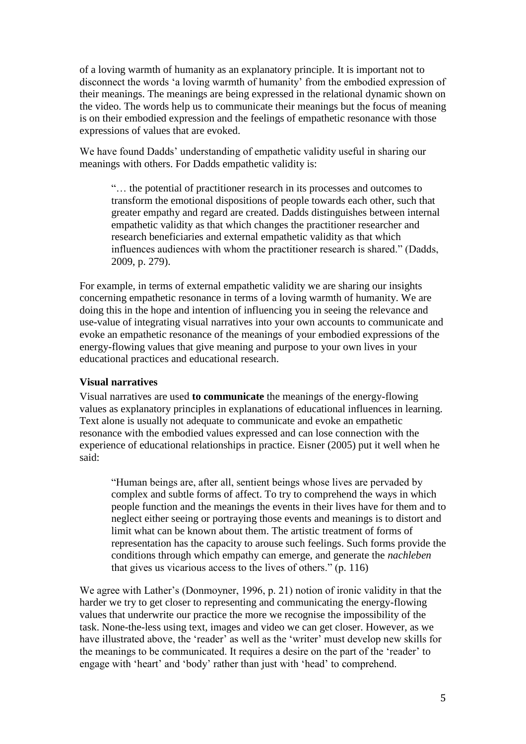of a loving warmth of humanity as an explanatory principle. It is important not to disconnect the words "a loving warmth of humanity" from the embodied expression of their meanings. The meanings are being expressed in the relational dynamic shown on the video. The words help us to communicate their meanings but the focus of meaning is on their embodied expression and the feelings of empathetic resonance with those expressions of values that are evoked.

We have found Dadds' understanding of empathetic validity useful in sharing our meanings with others. For Dadds empathetic validity is:

"… the potential of practitioner research in its processes and outcomes to transform the emotional dispositions of people towards each other, such that greater empathy and regard are created. Dadds distinguishes between internal empathetic validity as that which changes the practitioner researcher and research beneficiaries and external empathetic validity as that which influences audiences with whom the practitioner research is shared." (Dadds, 2009, p. 279).

For example, in terms of external empathetic validity we are sharing our insights concerning empathetic resonance in terms of a loving warmth of humanity. We are doing this in the hope and intention of influencing you in seeing the relevance and use-value of integrating visual narratives into your own accounts to communicate and evoke an empathetic resonance of the meanings of your embodied expressions of the energy-flowing values that give meaning and purpose to your own lives in your educational practices and educational research.

#### **Visual narratives**

Visual narratives are used **to communicate** the meanings of the energy-flowing values as explanatory principles in explanations of educational influences in learning. Text alone is usually not adequate to communicate and evoke an empathetic resonance with the embodied values expressed and can lose connection with the experience of educational relationships in practice. Eisner (2005) put it well when he said:

"Human beings are, after all, sentient beings whose lives are pervaded by complex and subtle forms of affect. To try to comprehend the ways in which people function and the meanings the events in their lives have for them and to neglect either seeing or portraying those events and meanings is to distort and limit what can be known about them. The artistic treatment of forms of representation has the capacity to arouse such feelings. Such forms provide the conditions through which empathy can emerge, and generate the *nachleben* that gives us vicarious access to the lives of others." (p. 116)

We agree with Lather's (Donmoyner, 1996, p. 21) notion of ironic validity in that the harder we try to get closer to representing and communicating the energy-flowing values that underwrite our practice the more we recognise the impossibility of the task. None-the-less using text, images and video we can get closer. However, as we have illustrated above, the 'reader' as well as the 'writer' must develop new skills for the meanings to be communicated. It requires a desire on the part of the "reader" to engage with "heart" and "body" rather than just with "head" to comprehend.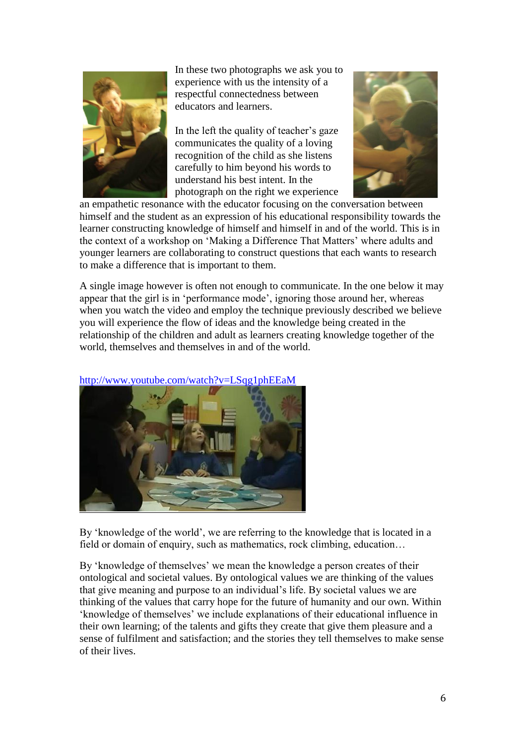

In these two photographs we ask you to experience with us the intensity of a respectful connectedness between educators and learners.

In the left the quality of teacher's gaze communicates the quality of a loving recognition of the child as she listens carefully to him beyond his words to understand his best intent. In the photograph on the right we experience



an empathetic resonance with the educator focusing on the conversation between himself and the student as an expression of his educational responsibility towards the learner constructing knowledge of himself and himself in and of the world. This is in the context of a workshop on 'Making a Difference That Matters' where adults and younger learners are collaborating to construct questions that each wants to research to make a difference that is important to them.

A single image however is often not enough to communicate. In the one below it may appear that the girl is in "performance mode", ignoring those around her, whereas when you watch the video and employ the technique previously described we believe you will experience the flow of ideas and the knowledge being created in the relationship of the children and adult as learners creating knowledge together of the world, themselves and themselves in and of the world.



<http://www.youtube.com/watch?v=LSqg1phEEaM>

By "knowledge of the world", we are referring to the knowledge that is located in a field or domain of enquiry, such as mathematics, rock climbing, education…

By 'knowledge of themselves' we mean the knowledge a person creates of their ontological and societal values. By ontological values we are thinking of the values that give meaning and purpose to an individual"s life. By societal values we are thinking of the values that carry hope for the future of humanity and our own. Within "knowledge of themselves" we include explanations of their educational influence in their own learning; of the talents and gifts they create that give them pleasure and a sense of fulfilment and satisfaction; and the stories they tell themselves to make sense of their lives.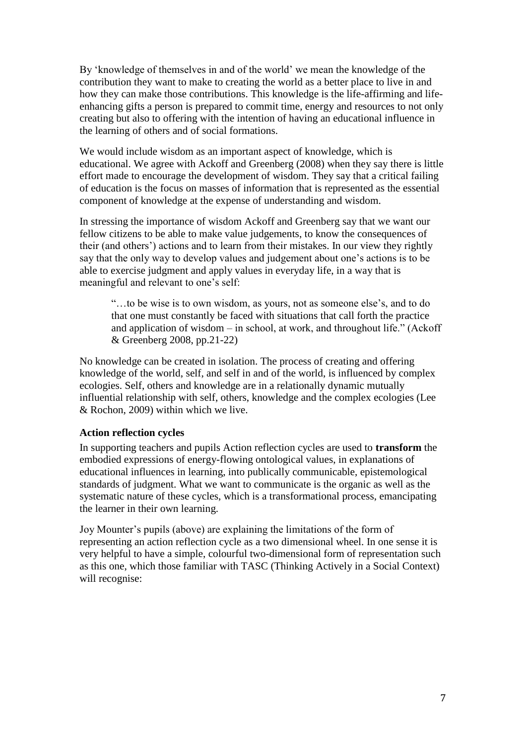By "knowledge of themselves in and of the world" we mean the knowledge of the contribution they want to make to creating the world as a better place to live in and how they can make those contributions. This knowledge is the life-affirming and lifeenhancing gifts a person is prepared to commit time, energy and resources to not only creating but also to offering with the intention of having an educational influence in the learning of others and of social formations.

We would include wisdom as an important aspect of knowledge, which is educational. We agree with Ackoff and Greenberg (2008) when they say there is little effort made to encourage the development of wisdom. They say that a critical failing of education is the focus on masses of information that is represented as the essential component of knowledge at the expense of understanding and wisdom.

In stressing the importance of wisdom Ackoff and Greenberg say that we want our fellow citizens to be able to make value judgements, to know the consequences of their (and others") actions and to learn from their mistakes. In our view they rightly say that the only way to develop values and judgement about one"s actions is to be able to exercise judgment and apply values in everyday life, in a way that is meaningful and relevant to one"s self:

"…to be wise is to own wisdom, as yours, not as someone else"s, and to do that one must constantly be faced with situations that call forth the practice and application of wisdom – in school, at work, and throughout life." (Ackoff & Greenberg 2008, pp.21-22)

No knowledge can be created in isolation. The process of creating and offering knowledge of the world, self, and self in and of the world, is influenced by complex ecologies. Self, others and knowledge are in a relationally dynamic mutually influential relationship with self, others, knowledge and the complex ecologies (Lee & Rochon, 2009) within which we live.

#### **Action reflection cycles**

In supporting teachers and pupils Action reflection cycles are used to **transform** the embodied expressions of energy-flowing ontological values, in explanations of educational influences in learning, into publically communicable, epistemological standards of judgment. What we want to communicate is the organic as well as the systematic nature of these cycles, which is a transformational process, emancipating the learner in their own learning.

Joy Mounter"s pupils (above) are explaining the limitations of the form of representing an action reflection cycle as a two dimensional wheel. In one sense it is very helpful to have a simple, colourful two-dimensional form of representation such as this one, which those familiar with TASC (Thinking Actively in a Social Context) will recognise: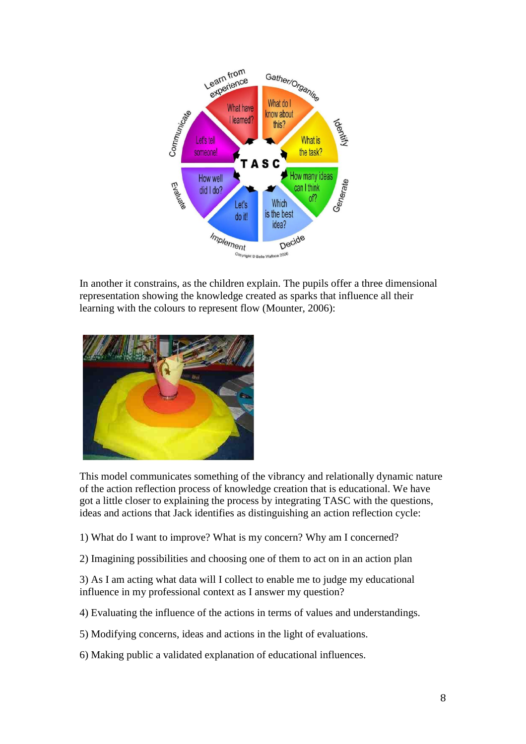

In another it constrains, as the children explain. The pupils offer a three dimensional representation showing the knowledge created as sparks that influence all their learning with the colours to represent flow (Mounter, 2006):



This model communicates something of the vibrancy and relationally dynamic nature of the action reflection process of knowledge creation that is educational. We have got a little closer to explaining the process by integrating TASC with the questions, ideas and actions that Jack identifies as distinguishing an action reflection cycle:

- 1) What do I want to improve? What is my concern? Why am I concerned?
- 2) Imagining possibilities and choosing one of them to act on in an action plan

3) As I am acting what data will I collect to enable me to judge my educational influence in my professional context as I answer my question?

- 4) Evaluating the influence of the actions in terms of values and understandings.
- 5) Modifying concerns, ideas and actions in the light of evaluations.
- 6) Making public a validated explanation of educational influences.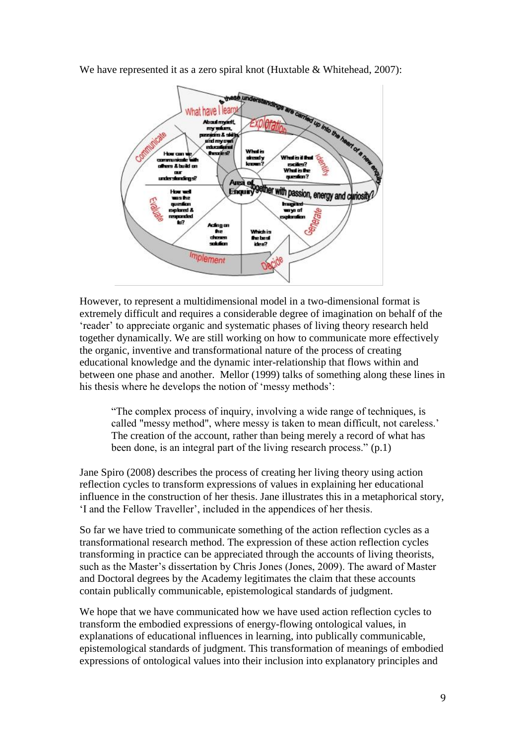

However, to represent a multidimensional model in a two-dimensional format is extremely difficult and requires a considerable degree of imagination on behalf of the "reader" to appreciate organic and systematic phases of living theory research held together dynamically. We are still working on how to communicate more effectively the organic, inventive and transformational nature of the process of creating educational knowledge and the dynamic inter-relationship that flows within and between one phase and another. Mellor (1999) talks of something along these lines in his thesis where he develops the notion of 'messy methods':

"The complex process of inquiry, involving a wide range of techniques, is called "messy method", where messy is taken to mean difficult, not careless." The creation of the account, rather than being merely a record of what has been done, is an integral part of the living research process." (p.1)

Jane Spiro (2008) describes the process of creating her living theory using action reflection cycles to transform expressions of values in explaining her educational influence in the construction of her thesis. Jane illustrates this in a metaphorical story, "I and the Fellow Traveller", included in the appendices of her thesis.

So far we have tried to communicate something of the action reflection cycles as a transformational research method. The expression of these action reflection cycles transforming in practice can be appreciated through the accounts of living theorists, such as the Master's dissertation by Chris Jones (Jones, 2009). The award of Master and Doctoral degrees by the Academy legitimates the claim that these accounts contain publically communicable, epistemological standards of judgment.

We hope that we have communicated how we have used action reflection cycles to transform the embodied expressions of energy-flowing ontological values, in explanations of educational influences in learning, into publically communicable, epistemological standards of judgment. This transformation of meanings of embodied expressions of ontological values into their inclusion into explanatory principles and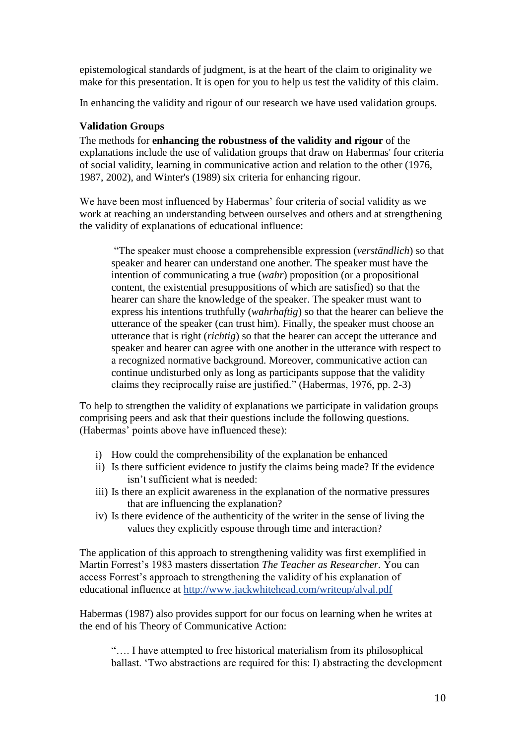epistemological standards of judgment, is at the heart of the claim to originality we make for this presentation. It is open for you to help us test the validity of this claim.

In enhancing the validity and rigour of our research we have used validation groups.

#### **Validation Groups**

The methods for **enhancing the robustness of the validity and rigour** of the explanations include the use of validation groups that draw on Habermas' four criteria of social validity, learning in communicative action and relation to the other (1976, 1987, 2002), and Winter's (1989) six criteria for enhancing rigour.

We have been most influenced by Habermas' four criteria of social validity as we work at reaching an understanding between ourselves and others and at strengthening the validity of explanations of educational influence:

"The speaker must choose a comprehensible expression (*verständlich*) so that speaker and hearer can understand one another. The speaker must have the intention of communicating a true (*wahr*) proposition (or a propositional content, the existential presuppositions of which are satisfied) so that the hearer can share the knowledge of the speaker. The speaker must want to express his intentions truthfully (*wahrhaftig*) so that the hearer can believe the utterance of the speaker (can trust him). Finally, the speaker must choose an utterance that is right (*richtig*) so that the hearer can accept the utterance and speaker and hearer can agree with one another in the utterance with respect to a recognized normative background. Moreover, communicative action can continue undisturbed only as long as participants suppose that the validity claims they reciprocally raise are justified." (Habermas, 1976, pp. 2-3)

To help to strengthen the validity of explanations we participate in validation groups comprising peers and ask that their questions include the following questions. (Habermas' points above have influenced these):

- i) How could the comprehensibility of the explanation be enhanced
- ii) Is there sufficient evidence to justify the claims being made? If the evidence isn"t sufficient what is needed:
- iii) Is there an explicit awareness in the explanation of the normative pressures that are influencing the explanation?
- iv) Is there evidence of the authenticity of the writer in the sense of living the values they explicitly espouse through time and interaction?

The application of this approach to strengthening validity was first exemplified in Martin Forrest"s 1983 masters dissertation *The Teacher as Researcher.* You can access Forrest's approach to strengthening the validity of his explanation of educational influence at<http://www.jackwhitehead.com/writeup/alval.pdf>

Habermas (1987) also provides support for our focus on learning when he writes at the end of his Theory of Communicative Action:

"…. I have attempted to free historical materialism from its philosophical ballast. "Two abstractions are required for this: I) abstracting the development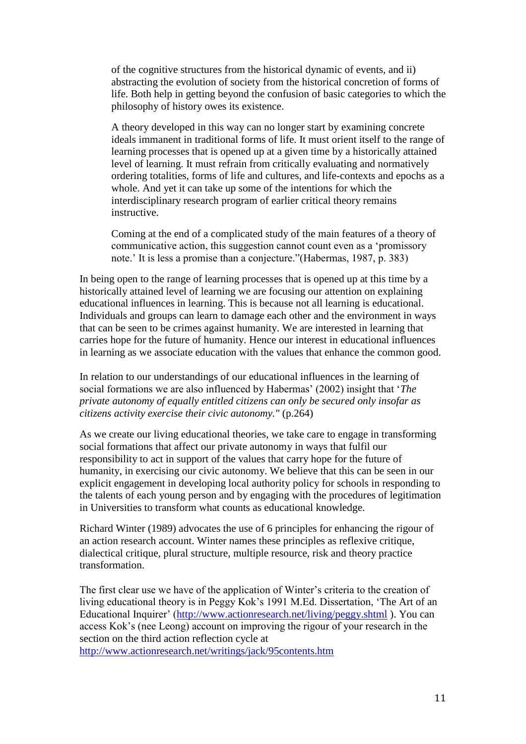of the cognitive structures from the historical dynamic of events, and ii) abstracting the evolution of society from the historical concretion of forms of life. Both help in getting beyond the confusion of basic categories to which the philosophy of history owes its existence.

A theory developed in this way can no longer start by examining concrete ideals immanent in traditional forms of life. It must orient itself to the range of learning processes that is opened up at a given time by a historically attained level of learning. It must refrain from critically evaluating and normatively ordering totalities, forms of life and cultures, and life-contexts and epochs as a whole. And yet it can take up some of the intentions for which the interdisciplinary research program of earlier critical theory remains instructive.

Coming at the end of a complicated study of the main features of a theory of communicative action, this suggestion cannot count even as a "promissory note." It is less a promise than a conjecture."(Habermas, 1987, p. 383)

In being open to the range of learning processes that is opened up at this time by a historically attained level of learning we are focusing our attention on explaining educational influences in learning. This is because not all learning is educational. Individuals and groups can learn to damage each other and the environment in ways that can be seen to be crimes against humanity. We are interested in learning that carries hope for the future of humanity. Hence our interest in educational influences in learning as we associate education with the values that enhance the common good.

In relation to our understandings of our educational influences in the learning of social formations we are also influenced by Habermas' (2002) insight that '*The private autonomy of equally entitled citizens can only be secured only insofar as citizens activity exercise their civic autonomy."* (p.264)

As we create our living educational theories, we take care to engage in transforming social formations that affect our private autonomy in ways that fulfil our responsibility to act in support of the values that carry hope for the future of humanity, in exercising our civic autonomy. We believe that this can be seen in our explicit engagement in developing local authority policy for schools in responding to the talents of each young person and by engaging with the procedures of legitimation in Universities to transform what counts as educational knowledge.

Richard Winter (1989) advocates the use of 6 principles for enhancing the rigour of an action research account. Winter names these principles as reflexive critique, dialectical critique, plural structure, multiple resource, risk and theory practice transformation.

The first clear use we have of the application of Winter's criteria to the creation of living educational theory is in Peggy Kok"s 1991 M.Ed. Dissertation, "The Art of an Educational Inquirer' [\(http://www.actionresearch.net/living/peggy.shtml](http://www.actionresearch.net/living/peggy.shtml)). You can access Kok"s (nee Leong) account on improving the rigour of your research in the section on the third action reflection cycle at

<http://www.actionresearch.net/writings/jack/95contents.htm>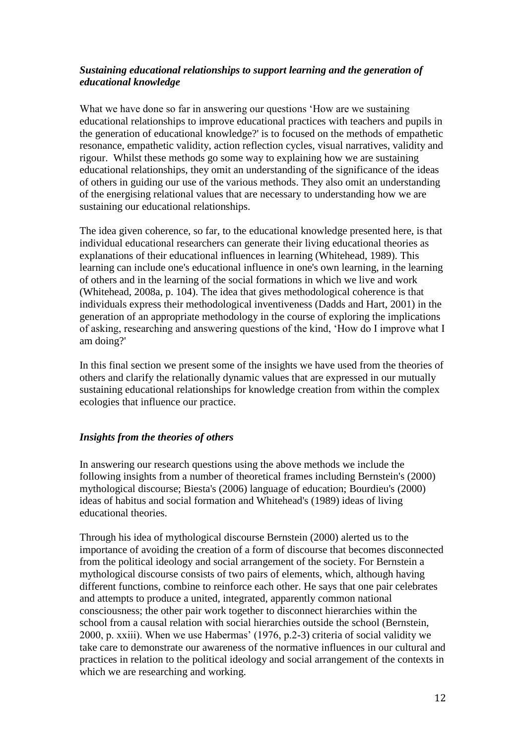## *Sustaining educational relationships to support learning and the generation of educational knowledge*

What we have done so far in answering our questions 'How are we sustaining educational relationships to improve educational practices with teachers and pupils in the generation of educational knowledge?' is to focused on the methods of empathetic resonance, empathetic validity, action reflection cycles, visual narratives, validity and rigour. Whilst these methods go some way to explaining how we are sustaining educational relationships, they omit an understanding of the significance of the ideas of others in guiding our use of the various methods. They also omit an understanding of the energising relational values that are necessary to understanding how we are sustaining our educational relationships.

The idea given coherence, so far, to the educational knowledge presented here, is that individual educational researchers can generate their living educational theories as explanations of their educational influences in learning (Whitehead, 1989). This learning can include one's educational influence in one's own learning, in the learning of others and in the learning of the social formations in which we live and work (Whitehead, 2008a, p. 104). The idea that gives methodological coherence is that individuals express their methodological inventiveness (Dadds and Hart, 2001) in the generation of an appropriate methodology in the course of exploring the implications of asking, researching and answering questions of the kind, "How do I improve what I am doing?'

In this final section we present some of the insights we have used from the theories of others and clarify the relationally dynamic values that are expressed in our mutually sustaining educational relationships for knowledge creation from within the complex ecologies that influence our practice.

## *Insights from the theories of others*

In answering our research questions using the above methods we include the following insights from a number of theoretical frames including Bernstein's (2000) mythological discourse; Biesta's (2006) language of education; Bourdieu's (2000) ideas of habitus and social formation and Whitehead's (1989) ideas of living educational theories.

Through his idea of mythological discourse Bernstein (2000) alerted us to the importance of avoiding the creation of a form of discourse that becomes disconnected from the political ideology and social arrangement of the society. For Bernstein a mythological discourse consists of two pairs of elements, which, although having different functions, combine to reinforce each other. He says that one pair celebrates and attempts to produce a united, integrated, apparently common national consciousness; the other pair work together to disconnect hierarchies within the school from a causal relation with social hierarchies outside the school (Bernstein, 2000, p. xxiii). When we use Habermas" (1976, p.2-3) criteria of social validity we take care to demonstrate our awareness of the normative influences in our cultural and practices in relation to the political ideology and social arrangement of the contexts in which we are researching and working.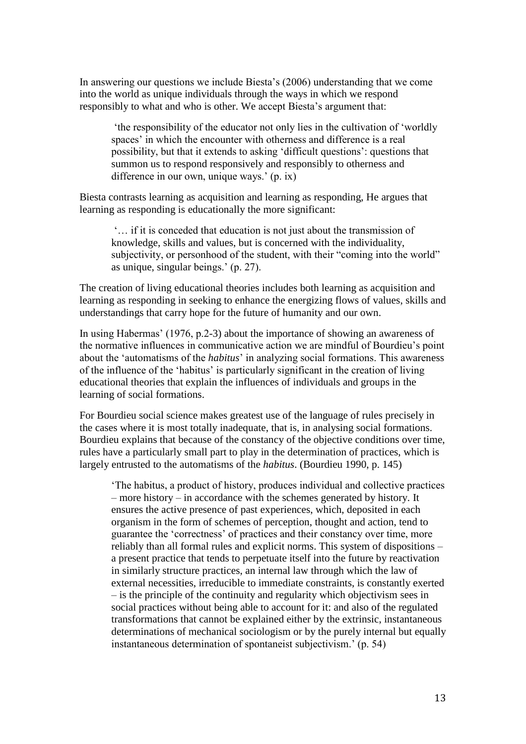In answering our questions we include Biesta"s (2006) understanding that we come into the world as unique individuals through the ways in which we respond responsibly to what and who is other. We accept Biesta"s argument that:

"the responsibility of the educator not only lies in the cultivation of "worldly spaces' in which the encounter with otherness and difference is a real possibility, but that it extends to asking "difficult questions": questions that summon us to respond responsively and responsibly to otherness and difference in our own, unique ways.' (p. ix)

Biesta contrasts learning as acquisition and learning as responding, He argues that learning as responding is educationally the more significant:

"… if it is conceded that education is not just about the transmission of knowledge, skills and values, but is concerned with the individuality, subjectivity, or personhood of the student, with their "coming into the world" as unique, singular beings." (p. 27).

The creation of living educational theories includes both learning as acquisition and learning as responding in seeking to enhance the energizing flows of values, skills and understandings that carry hope for the future of humanity and our own.

In using Habermas" (1976, p.2-3) about the importance of showing an awareness of the normative influences in communicative action we are mindful of Bourdieu"s point about the "automatisms of the *habitus*" in analyzing social formations. This awareness of the influence of the 'habitus' is particularly significant in the creation of living educational theories that explain the influences of individuals and groups in the learning of social formations.

For Bourdieu social science makes greatest use of the language of rules precisely in the cases where it is most totally inadequate, that is, in analysing social formations. Bourdieu explains that because of the constancy of the objective conditions over time, rules have a particularly small part to play in the determination of practices, which is largely entrusted to the automatisms of the *habitus*. (Bourdieu 1990, p. 145)

"The habitus, a product of history, produces individual and collective practices – more history – in accordance with the schemes generated by history. It ensures the active presence of past experiences, which, deposited in each organism in the form of schemes of perception, thought and action, tend to guarantee the "correctness" of practices and their constancy over time, more reliably than all formal rules and explicit norms. This system of dispositions – a present practice that tends to perpetuate itself into the future by reactivation in similarly structure practices, an internal law through which the law of external necessities, irreducible to immediate constraints, is constantly exerted – is the principle of the continuity and regularity which objectivism sees in social practices without being able to account for it: and also of the regulated transformations that cannot be explained either by the extrinsic, instantaneous determinations of mechanical sociologism or by the purely internal but equally instantaneous determination of spontaneist subjectivism." (p. 54)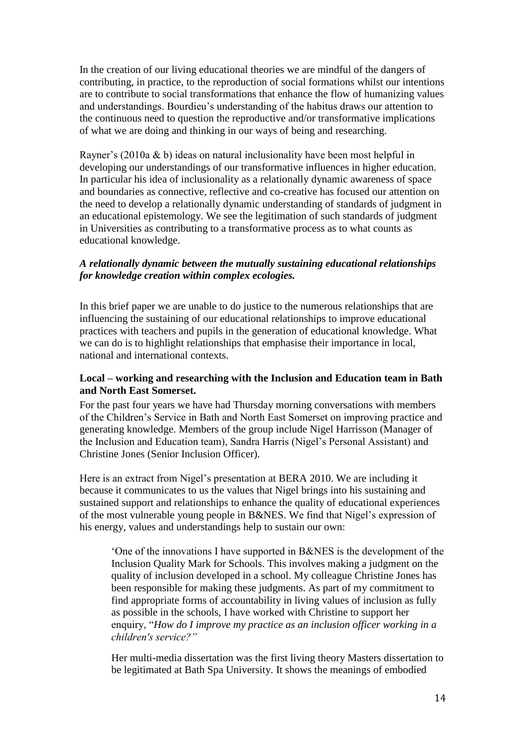In the creation of our living educational theories we are mindful of the dangers of contributing, in practice, to the reproduction of social formations whilst our intentions are to contribute to social transformations that enhance the flow of humanizing values and understandings. Bourdieu"s understanding of the habitus draws our attention to the continuous need to question the reproductive and/or transformative implications of what we are doing and thinking in our ways of being and researching.

Rayner"s (2010a & b) ideas on natural inclusionality have been most helpful in developing our understandings of our transformative influences in higher education. In particular his idea of inclusionality as a relationally dynamic awareness of space and boundaries as connective, reflective and co-creative has focused our attention on the need to develop a relationally dynamic understanding of standards of judgment in an educational epistemology. We see the legitimation of such standards of judgment in Universities as contributing to a transformative process as to what counts as educational knowledge.

### *A relationally dynamic between the mutually sustaining educational relationships for knowledge creation within complex ecologies.*

In this brief paper we are unable to do justice to the numerous relationships that are influencing the sustaining of our educational relationships to improve educational practices with teachers and pupils in the generation of educational knowledge. What we can do is to highlight relationships that emphasise their importance in local, national and international contexts.

## **Local – working and researching with the Inclusion and Education team in Bath and North East Somerset.**

For the past four years we have had Thursday morning conversations with members of the Children"s Service in Bath and North East Somerset on improving practice and generating knowledge. Members of the group include Nigel Harrisson (Manager of the Inclusion and Education team), Sandra Harris (Nigel"s Personal Assistant) and Christine Jones (Senior Inclusion Officer).

Here is an extract from Nigel's presentation at BERA 2010. We are including it because it communicates to us the values that Nigel brings into his sustaining and sustained support and relationships to enhance the quality of educational experiences of the most vulnerable young people in B&NES. We find that Nigel"s expression of his energy, values and understandings help to sustain our own:

"One of the innovations I have supported in B&NES is the development of the Inclusion Quality Mark for Schools. This involves making a judgment on the quality of inclusion developed in a school. My colleague Christine Jones has been responsible for making these judgments. As part of my commitment to find appropriate forms of accountability in living values of inclusion as fully as possible in the schools, I have worked with Christine to support her enquiry, "*How do I improve my practice as an inclusion officer working in a children's service?"*

Her multi-media dissertation was the first living theory Masters dissertation to be legitimated at Bath Spa University. It shows the meanings of embodied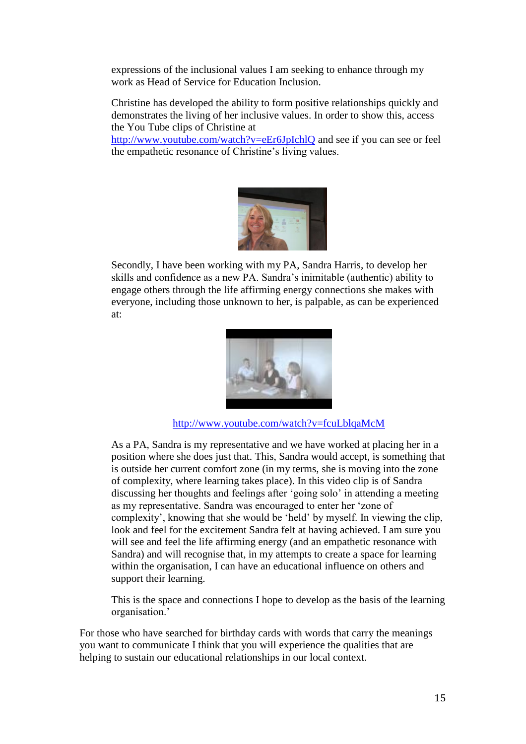expressions of the inclusional values I am seeking to enhance through my work as Head of Service for Education Inclusion.

Christine has developed the ability to form positive relationships quickly and demonstrates the living of her inclusive values. In order to show this, access the You Tube clips of Christine at

<http://www.youtube.com/watch?v=eEr6JpIchlQ> and see if you can see or feel the empathetic resonance of Christine's living values.



Secondly, I have been working with my PA, Sandra Harris, to develop her skills and confidence as a new PA. Sandra"s inimitable (authentic) ability to engage others through the life affirming energy connections she makes with everyone, including those unknown to her, is palpable, as can be experienced at:



<http://www.youtube.com/watch?v=fcuLblqaMcM>

As a PA, Sandra is my representative and we have worked at placing her in a position where she does just that. This, Sandra would accept, is something that is outside her current comfort zone (in my terms, she is moving into the zone of complexity, where learning takes place). In this video clip is of Sandra discussing her thoughts and feelings after "going solo" in attending a meeting as my representative. Sandra was encouraged to enter her "zone of complexity", knowing that she would be "held" by myself. In viewing the clip, look and feel for the excitement Sandra felt at having achieved. I am sure you will see and feel the life affirming energy (and an empathetic resonance with Sandra) and will recognise that, in my attempts to create a space for learning within the organisation, I can have an educational influence on others and support their learning.

This is the space and connections I hope to develop as the basis of the learning organisation."

For those who have searched for birthday cards with words that carry the meanings you want to communicate I think that you will experience the qualities that are helping to sustain our educational relationships in our local context.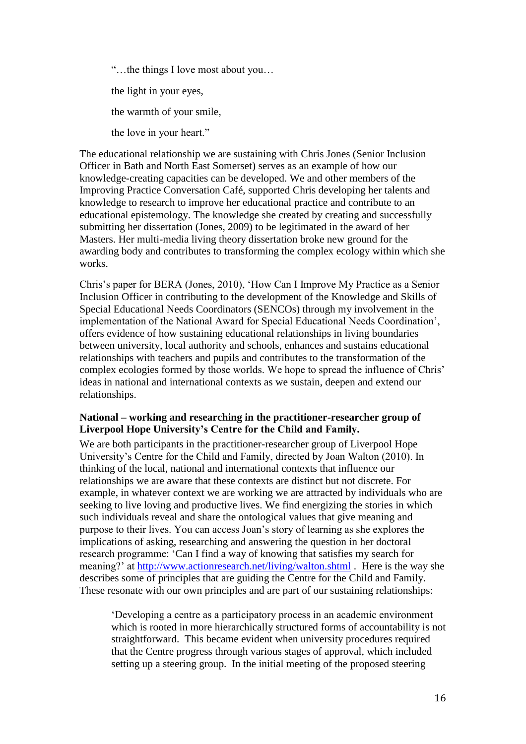"…the things I love most about you… the light in your eyes, the warmth of your smile, the love in your heart."

The educational relationship we are sustaining with Chris Jones (Senior Inclusion Officer in Bath and North East Somerset) serves as an example of how our knowledge-creating capacities can be developed. We and other members of the Improving Practice Conversation Café, supported Chris developing her talents and knowledge to research to improve her educational practice and contribute to an educational epistemology. The knowledge she created by creating and successfully submitting her dissertation (Jones, 2009) to be legitimated in the award of her Masters. Her multi-media living theory dissertation broke new ground for the awarding body and contributes to transforming the complex ecology within which she works.

Chris"s paper for BERA (Jones, 2010), "How Can I Improve My Practice as a Senior Inclusion Officer in contributing to the development of the Knowledge and Skills of Special Educational Needs Coordinators (SENCOs) through my involvement in the implementation of the National Award for Special Educational Needs Coordination", offers evidence of how sustaining educational relationships in living boundaries between university, local authority and schools, enhances and sustains educational relationships with teachers and pupils and contributes to the transformation of the complex ecologies formed by those worlds. We hope to spread the influence of Chris" ideas in national and international contexts as we sustain, deepen and extend our relationships.

#### **National – working and researching in the practitioner-researcher group of Liverpool Hope University's Centre for the Child and Family.**

We are both participants in the practitioner-researcher group of Liverpool Hope University"s Centre for the Child and Family, directed by Joan Walton (2010). In thinking of the local, national and international contexts that influence our relationships we are aware that these contexts are distinct but not discrete. For example, in whatever context we are working we are attracted by individuals who are seeking to live loving and productive lives. We find energizing the stories in which such individuals reveal and share the ontological values that give meaning and purpose to their lives. You can access Joan"s story of learning as she explores the implications of asking, researching and answering the question in her doctoral research programme: "Can I find a way of knowing that satisfies my search for meaning?' at<http://www.actionresearch.net/living/walton.shtml> . Here is the way she describes some of principles that are guiding the Centre for the Child and Family. These resonate with our own principles and are part of our sustaining relationships:

"Developing a centre as a participatory process in an academic environment which is rooted in more hierarchically structured forms of accountability is not straightforward. This became evident when university procedures required that the Centre progress through various stages of approval, which included setting up a steering group. In the initial meeting of the proposed steering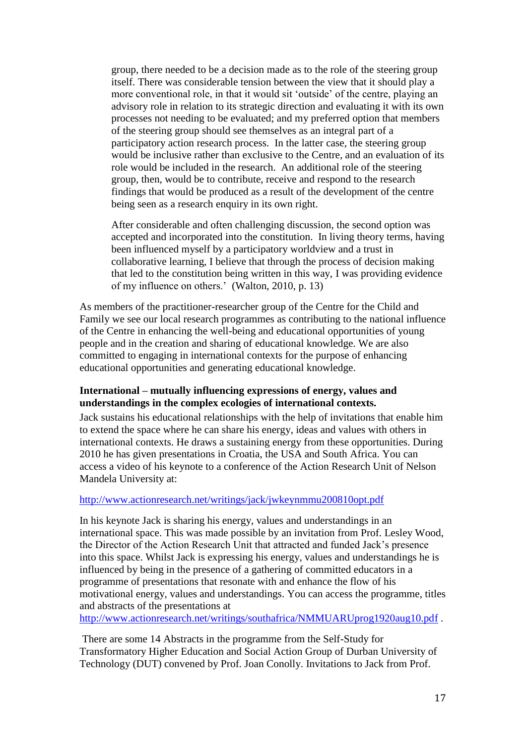group, there needed to be a decision made as to the role of the steering group itself. There was considerable tension between the view that it should play a more conventional role, in that it would sit "outside" of the centre, playing an advisory role in relation to its strategic direction and evaluating it with its own processes not needing to be evaluated; and my preferred option that members of the steering group should see themselves as an integral part of a participatory action research process. In the latter case, the steering group would be inclusive rather than exclusive to the Centre, and an evaluation of its role would be included in the research. An additional role of the steering group, then, would be to contribute, receive and respond to the research findings that would be produced as a result of the development of the centre being seen as a research enquiry in its own right.

After considerable and often challenging discussion, the second option was accepted and incorporated into the constitution. In living theory terms, having been influenced myself by a participatory worldview and a trust in collaborative learning, I believe that through the process of decision making that led to the constitution being written in this way, I was providing evidence of my influence on others." (Walton, 2010, p. 13)

As members of the practitioner-researcher group of the Centre for the Child and Family we see our local research programmes as contributing to the national influence of the Centre in enhancing the well-being and educational opportunities of young people and in the creation and sharing of educational knowledge. We are also committed to engaging in international contexts for the purpose of enhancing educational opportunities and generating educational knowledge.

#### **International – mutually influencing expressions of energy, values and understandings in the complex ecologies of international contexts.**

Jack sustains his educational relationships with the help of invitations that enable him to extend the space where he can share his energy, ideas and values with others in international contexts. He draws a sustaining energy from these opportunities. During 2010 he has given presentations in Croatia, the USA and South Africa. You can access a video of his keynote to a conference of the Action Research Unit of Nelson Mandela University at:

#### <http://www.actionresearch.net/writings/jack/jwkeynmmu200810opt.pdf>

In his keynote Jack is sharing his energy, values and understandings in an international space. This was made possible by an invitation from Prof. Lesley Wood, the Director of the Action Research Unit that attracted and funded Jack"s presence into this space. Whilst Jack is expressing his energy, values and understandings he is influenced by being in the presence of a gathering of committed educators in a programme of presentations that resonate with and enhance the flow of his motivational energy, values and understandings. You can access the programme, titles and abstracts of the presentations at

<http://www.actionresearch.net/writings/southafrica/NMMUARUprog1920aug10.pdf> .

There are some 14 Abstracts in the programme from the Self-Study for Transformatory Higher Education and Social Action Group of Durban University of Technology (DUT) convened by Prof. Joan Conolly. Invitations to Jack from Prof.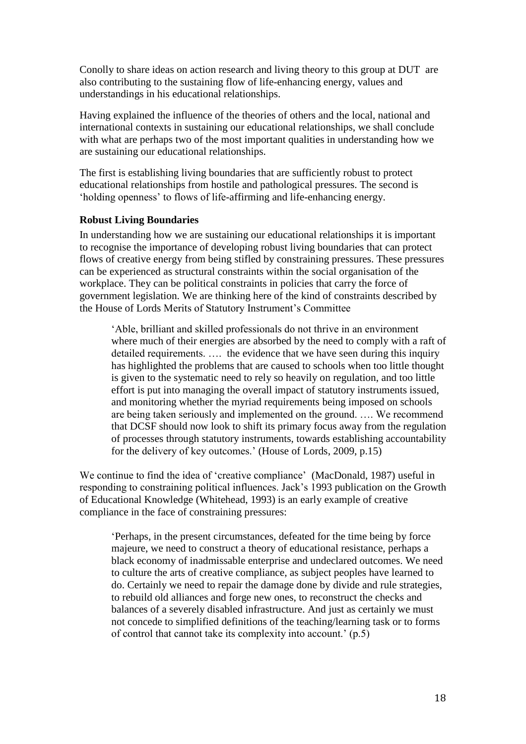Conolly to share ideas on action research and living theory to this group at DUT are also contributing to the sustaining flow of life-enhancing energy, values and understandings in his educational relationships.

Having explained the influence of the theories of others and the local, national and international contexts in sustaining our educational relationships, we shall conclude with what are perhaps two of the most important qualities in understanding how we are sustaining our educational relationships.

The first is establishing living boundaries that are sufficiently robust to protect educational relationships from hostile and pathological pressures. The second is "holding openness" to flows of life-affirming and life-enhancing energy.

#### **Robust Living Boundaries**

In understanding how we are sustaining our educational relationships it is important to recognise the importance of developing robust living boundaries that can protect flows of creative energy from being stifled by constraining pressures. These pressures can be experienced as structural constraints within the social organisation of the workplace. They can be political constraints in policies that carry the force of government legislation. We are thinking here of the kind of constraints described by the House of Lords Merits of Statutory Instrument's Committee

"Able, brilliant and skilled professionals do not thrive in an environment where much of their energies are absorbed by the need to comply with a raft of detailed requirements. …. the evidence that we have seen during this inquiry has highlighted the problems that are caused to schools when too little thought is given to the systematic need to rely so heavily on regulation, and too little effort is put into managing the overall impact of statutory instruments issued, and monitoring whether the myriad requirements being imposed on schools are being taken seriously and implemented on the ground. …. We recommend that DCSF should now look to shift its primary focus away from the regulation of processes through statutory instruments, towards establishing accountability for the delivery of key outcomes." (House of Lords, 2009, p.15)

We continue to find the idea of 'creative compliance' (MacDonald, 1987) useful in responding to constraining political influences. Jack"s 1993 publication on the Growth of Educational Knowledge (Whitehead, 1993) is an early example of creative compliance in the face of constraining pressures:

"Perhaps, in the present circumstances, defeated for the time being by force majeure, we need to construct a theory of educational resistance, perhaps a black economy of inadmissable enterprise and undeclared outcomes. We need to culture the arts of creative compliance, as subject peoples have learned to do. Certainly we need to repair the damage done by divide and rule strategies, to rebuild old alliances and forge new ones, to reconstruct the checks and balances of a severely disabled infrastructure. And just as certainly we must not concede to simplified definitions of the teaching/learning task or to forms of control that cannot take its complexity into account.'  $(p.5)$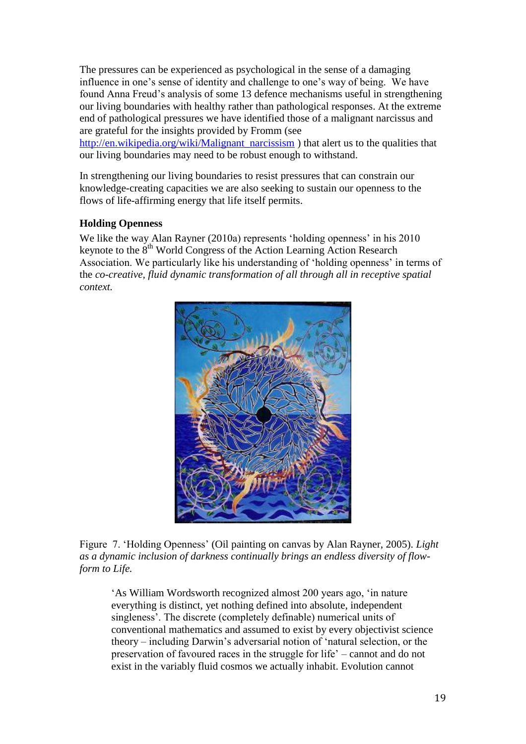The pressures can be experienced as psychological in the sense of a damaging influence in one"s sense of identity and challenge to one"s way of being. We have found Anna Freud"s analysis of some 13 defence mechanisms useful in strengthening our living boundaries with healthy rather than pathological responses. At the extreme end of pathological pressures we have identified those of a malignant narcissus and are grateful for the insights provided by Fromm (see

[http://en.wikipedia.org/wiki/Malignant\\_narcissism](http://en.wikipedia.org/wiki/Malignant_narcissism) ) that alert us to the qualities that our living boundaries may need to be robust enough to withstand.

In strengthening our living boundaries to resist pressures that can constrain our knowledge-creating capacities we are also seeking to sustain our openness to the flows of life-affirming energy that life itself permits.

## **Holding Openness**

We like the way Alan Rayner (2010a) represents 'holding openness' in his 2010 keynote to the  $8<sup>th</sup>$  World Congress of the Action Learning Action Research Association. We particularly like his understanding of 'holding openness' in terms of the *co-creative, fluid dynamic transformation of all through all in receptive spatial context.*



Figure 7. "Holding Openness" (Oil painting on canvas by Alan Rayner, 2005). *Light as a dynamic inclusion of darkness continually brings an endless diversity of flowform to Life.* 

"As William Wordsworth recognized almost 200 years ago, "in nature everything is distinct, yet nothing defined into absolute, independent singleness'. The discrete (completely definable) numerical units of conventional mathematics and assumed to exist by every objectivist science theory – including Darwin"s adversarial notion of "natural selection, or the preservation of favoured races in the struggle for life" – cannot and do not exist in the variably fluid cosmos we actually inhabit. Evolution cannot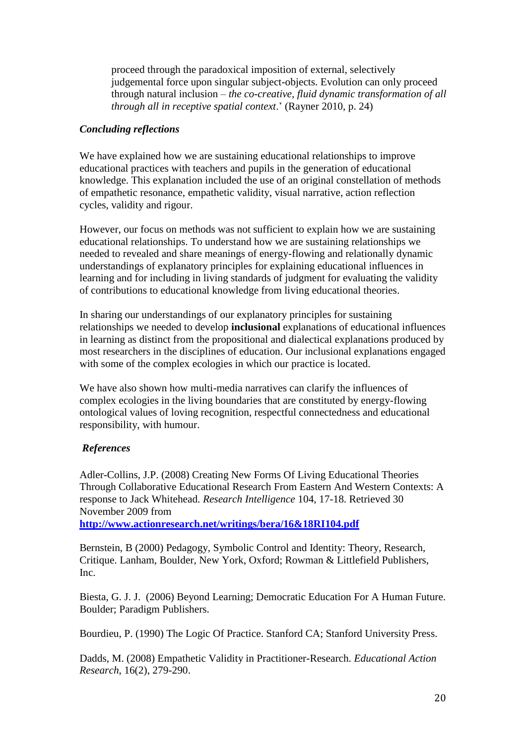proceed through the paradoxical imposition of external, selectively judgemental force upon singular subject-objects. Evolution can only proceed through natural inclusion – *the co-creative, fluid dynamic transformation of all through all in receptive spatial context*." (Rayner 2010, p. 24)

#### *Concluding reflections*

We have explained how we are sustaining educational relationships to improve educational practices with teachers and pupils in the generation of educational knowledge. This explanation included the use of an original constellation of methods of empathetic resonance, empathetic validity, visual narrative, action reflection cycles, validity and rigour.

However, our focus on methods was not sufficient to explain how we are sustaining educational relationships. To understand how we are sustaining relationships we needed to revealed and share meanings of energy-flowing and relationally dynamic understandings of explanatory principles for explaining educational influences in learning and for including in living standards of judgment for evaluating the validity of contributions to educational knowledge from living educational theories.

In sharing our understandings of our explanatory principles for sustaining relationships we needed to develop **inclusional** explanations of educational influences in learning as distinct from the propositional and dialectical explanations produced by most researchers in the disciplines of education. Our inclusional explanations engaged with some of the complex ecologies in which our practice is located.

We have also shown how multi-media narratives can clarify the influences of complex ecologies in the living boundaries that are constituted by energy-flowing ontological values of loving recognition, respectful connectedness and educational responsibility, with humour.

## *References*

Adler-Collins, J.P. (2008) Creating New Forms Of Living Educational Theories Through Collaborative Educational Research From Eastern And Western Contexts: A response to Jack Whitehead. *Research Intelligence* 104, 17-18. Retrieved 30 November 2009 from

**<http://www.actionresearch.net/writings/bera/16&18RI104.pdf>**

Bernstein, B (2000) Pedagogy, Symbolic Control and Identity: Theory, Research, Critique. Lanham, Boulder, New York, Oxford; Rowman & Littlefield Publishers, Inc.

Biesta, G. J. J. (2006) Beyond Learning; Democratic Education For A Human Future. Boulder; Paradigm Publishers.

Bourdieu, P. (1990) The Logic Of Practice. Stanford CA; Stanford University Press.

Dadds, M. (2008) Empathetic Validity in Practitioner-Research. *Educational Action Research*, 16(2), 279-290.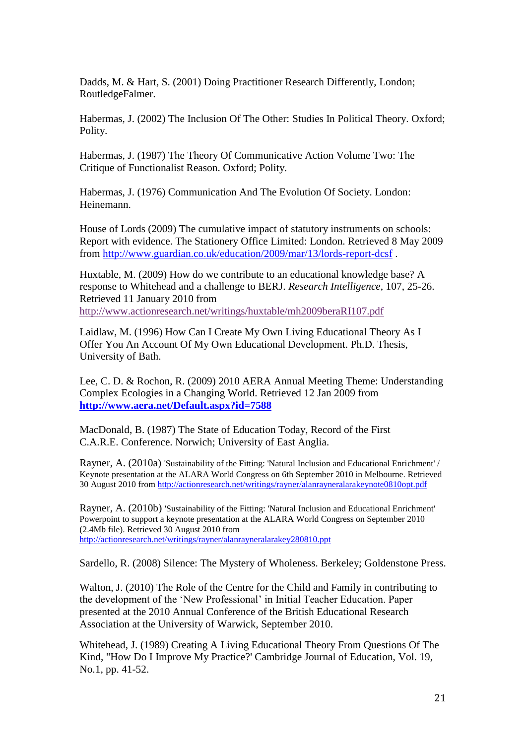Dadds, M. & Hart, S. (2001) Doing Practitioner Research Differently, London; RoutledgeFalmer.

Habermas, J. (2002) The Inclusion Of The Other: Studies In Political Theory. Oxford; Polity.

Habermas, J. (1987) The Theory Of Communicative Action Volume Two: The Critique of Functionalist Reason. Oxford; Polity.

Habermas, J. (1976) Communication And The Evolution Of Society. London: Heinemann.

House of Lords (2009) The cumulative impact of statutory instruments on schools: Report with evidence. The Stationery Office Limited: London. Retrieved 8 May 2009 from<http://www.guardian.co.uk/education/2009/mar/13/lords-report-dcsf> .

Huxtable, M. (2009) How do we contribute to an educational knowledge base? A response to Whitehead and a challenge to BERJ. *Research Intelligence*, 107, 25-26. Retrieved 11 January 2010 from <http://www.actionresearch.net/writings/huxtable/mh2009beraRI107.pdf>

Laidlaw, M. (1996) How Can I Create My Own Living Educational Theory As I Offer You An Account Of My Own Educational Development. Ph.D. Thesis, University of Bath.

Lee, C. D. & Rochon, R. (2009) 2010 AERA Annual Meeting Theme: Understanding Complex Ecologies in a Changing World. Retrieved 12 Jan 2009 from **<http://www.aera.net/Default.aspx?id=7588>**

MacDonald, B. (1987) The State of Education Today, Record of the First C.A.R.E. Conference. Norwich; University of East Anglia.

Rayner, A. (2010a) 'Sustainability of the Fitting: 'Natural Inclusion and Educational Enrichment' / Keynote presentation at the ALARA World Congress on 6th September 2010 in Melbourne. Retrieved 30 August 2010 from<http://actionresearch.net/writings/rayner/alanrayneralarakeynote0810opt.pdf>

Rayner, A. (2010b) 'Sustainability of the Fitting: 'Natural Inclusion and Educational Enrichment' Powerpoint to support a keynote presentation at the ALARA World Congress on September 2010 (2.4Mb file). Retrieved 30 August 2010 from <http://actionresearch.net/writings/rayner/alanrayneralarakey280810.ppt>

Sardello, R. (2008) Silence: The Mystery of Wholeness. Berkeley; Goldenstone Press.

Walton, J. (2010) The Role of the Centre for the Child and Family in contributing to the development of the "New Professional" in Initial Teacher Education. Paper presented at the 2010 Annual Conference of the British Educational Research Association at the University of Warwick, September 2010.

Whitehead, J. (1989) Creating A Living Educational Theory From Questions Of The Kind, "How Do I Improve My Practice?' Cambridge Journal of Education, Vol. 19, No.1, pp. 41-52.